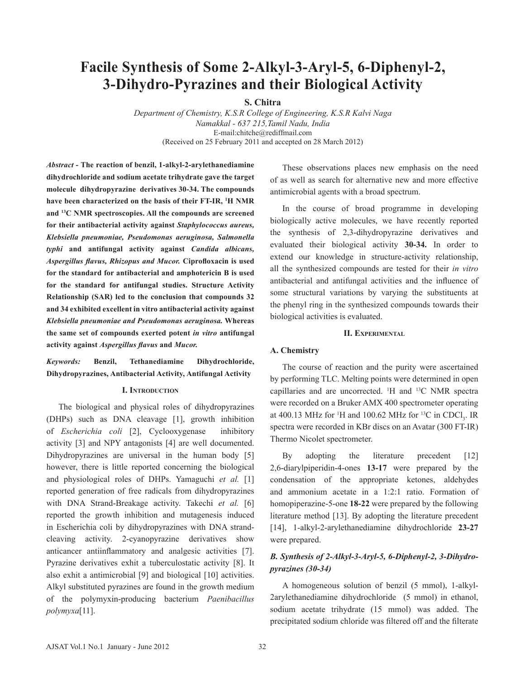# **Facile Synthesis of Some 2-Alkyl-3-Aryl-5, 6-Diphenyl-2, 3-Dihydro-Pyrazines and their Biological Activity**

**S. Chitra**

*Department of Chemistry, K.S.R College of Engineering, K.S.R Kalvi Naga Namakkal - 637 215,Tamil Nadu, India*  E-mail:chitche@rediffmail.com (Received on 25 February 2011 and accepted on 28 March 2012)

*Abstract -* **The reaction of benzil, 1-alkyl-2-arylethanediamine dihydrochloride and sodium acetate trihydrate gave the target molecule dihydropyrazine derivatives 30-34. The compounds have been characterized on the basis of their FT-IR, <sup>1</sup> H NMR and 13C NMR spectroscopies. All the compounds are screened for their antibacterial activity against** *Staphylococcus aureus, Klebsiella pneumoniae, Pseudomonas aeruginosa, Salmonella typhi* **and antifungal activity against** *Candida albicans, Aspergillus flavus, Rhizopus and Mucor.* **Ciprofloxacin is used for the standard for antibacterial and amphotericin B is used for the standard for antifungal studies. Structure Activity Relationship (SAR) led to the conclusion that compounds 32 and 34 exhibited excellent in vitro antibacterial activity against**  *Klebsiella pneumoniae and Pseudomonas aeruginosa.* **Whereas the same set of compounds exerted potent** *in vitro* **antifungal activity against** *Aspergillus flavus* **and** *Mucor.*

# *Keywords:* **Benzil, Tethanediamine Dihydrochloride, Dihydropyrazines, Antibacterial Activity, Antifungal Activity**

#### **I. Introduction**

The biological and physical roles of dihydropyrazines (DHPs) such as DNA cleavage [1], growth inhibition of *Escherichia coli* [2], Cyclooxygenase inhibitory activity [3] and NPY antagonists [4] are well documented. Dihydropyrazines are universal in the human body [5] however, there is little reported concerning the biological and physiological roles of DHPs. Yamaguchi *et al.* [1] reported generation of free radicals from dihydropyrazines with DNA Strand-Breakage activity. Takechi *et al.* [6] reported the growth inhibition and mutagenesis induced in Escherichia coli by dihydropyrazines with DNA strandcleaving activity. 2-cyanopyrazine derivatives show anticancer antiinflammatory and analgesic activities [7]. Pyrazine derivatives exhit a tuberculostatic activity [8]. It also exhit a antimicrobial [9] and biological [10] activities. Alkyl substituted pyrazines are found in the growth medium of the polymyxin-producing bacterium *Paenibacillus polymyxa*[11].

These observations places new emphasis on the need of as well as search for alternative new and more effective antimicrobial agents with a broad spectrum.

In the course of broad programme in developing biologically active molecules, we have recently reported the synthesis of 2,3-dihydropyrazine derivatives and evaluated their biological activity **30-34.** In order to extend our knowledge in structure-activity relationship, all the synthesized compounds are tested for their *in vitro*  antibacterial and antifungal activities and the influence of some structural variations by varying the substituents at the phenyl ring in the synthesized compounds towards their biological activities is evaluated.

#### **II. Experimental**

## **A. Chemistry**

The course of reaction and the purity were ascertained by performing TLC. Melting points were determined in open capillaries and are uncorrected.  $\rm{^1H}$  and  $\rm{^{13}C}$  NMR spectra were recorded on a Bruker AMX 400 spectrometer operating at 400.13 MHz for <sup>1</sup>H and 100.62 MHz for <sup>13</sup>C in CDCl<sub>3</sub>. IR spectra were recorded in KBr discs on an Avatar (300 FT-IR) Thermo Nicolet spectrometer.

By adopting the literature precedent [12] 2,6-diarylpiperidin-4-ones **13-17** were prepared by the condensation of the appropriate ketones, aldehydes and ammonium acetate in a 1:2:1 ratio. Formation of homopiperazine-5-one **18-22** were prepared by the following literature method [13]. By adopting the literature precedent [14], 1-alkyl-2-arylethanediamine dihydrochloride **23-27**  were prepared.

# *B. Synthesis of 2-Alkyl-3-Aryl-5, 6-Diphenyl-2, 3-Dihydropyrazines (30-34)*

A homogeneous solution of benzil (5 mmol), 1-alkyl-2arylethanediamine dihydrochloride (5 mmol) in ethanol, sodium acetate trihydrate (15 mmol) was added. The precipitated sodium chloride was filtered off and the filterate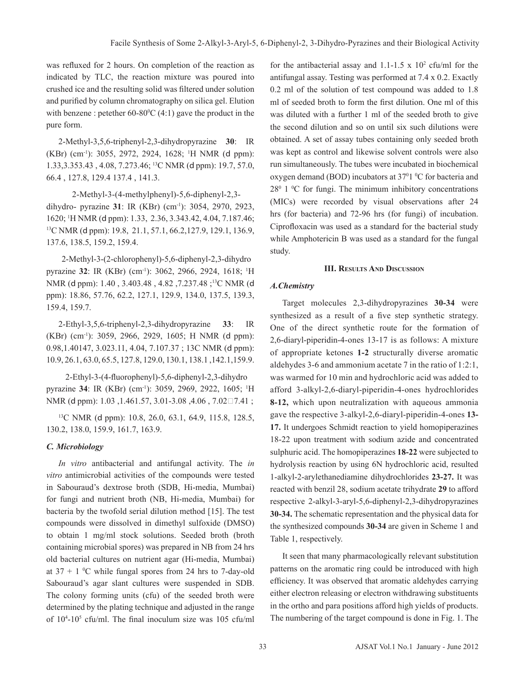was refluxed for 2 hours. On completion of the reaction as indicated by TLC, the reaction mixture was poured into crushed ice and the resulting solid was filtered under solution and purified by column chromatography on silica gel. Elution with benzene : petether  $60-80^{\circ}C(4:1)$  gave the product in the pure form.

2-Methyl-3,5,6-triphenyl-2,3-dihydropyrazine **30**: IR (KBr) (cm-1): 3055, 2972, 2924, 1628; <sup>1</sup> H NMR (d ppm): 1.33,3.353.43 , 4.08, 7.273.46; 13C NMR (d ppm): 19.7, 57.0, 66.4 , 127.8, 129.4 137.4 , 141.3.

2-Methyl-3-(4-methylphenyl)-5,6-diphenyl-2,3 dihydro- pyrazine **31**: IR (KBr) (cm-1): 3054, 2970, 2923, 1620; <sup>1</sup> H NMR (d ppm): 1.33, 2.36, 3.343.42, 4.04, 7.187.46; <sup>13</sup>C NMR (d ppm): 19.8, 21.1, 57.1, 66.2,127.9, 129.1, 136.9, 137.6, 138.5, 159.2, 159.4.

2-Methyl-3-(2-chlorophenyl)-5,6-diphenyl-2,3-dihydro pyrazine **32**: IR (KBr) (cm-1): 3062, 2966, 2924, 1618; <sup>1</sup> H NMR (d ppm): 1.40 , 3.403.48 , 4.82 ,7.237.48 ;13C NMR (d ppm): 18.86, 57.76, 62.2, 127.1, 129.9, 134.0, 137.5, 139.3, 159.4, 159.7.

2-Ethyl-3,5,6-triphenyl-2,3-dihydropyrazine **33**: IR (KBr) (cm-1): 3059, 2966, 2929, 1605; H NMR (d ppm): 0.98,1.40147, 3.023.11, 4.04, 7.107.37 ; 13C NMR (d ppm): 10.9, 26.1, 63.0, 65.5, 127.8, 129.0, 130.1, 138.1 ,142.1,159.9.

2-Ethyl-3-(4-fluorophenyl)-5,6-diphenyl-2,3-dihydro pyrazine **34**: IR (KBr) (cm-1): 3059, 2969, 2922, 1605; <sup>1</sup> H NMR (d ppm): 1.03, 1.461.57, 3.01-3.08, 4.06, 7.02 $\square$ 7.41;

<sup>13</sup>C NMR (d ppm): 10.8, 26.0, 63.1, 64.9, 115.8, 128.5, 130.2, 138.0, 159.9, 161.7, 163.9.

## *C. Microbiology*

*In vitro* antibacterial and antifungal activity. The *in vitro* antimicrobial activities of the compounds were tested in Sabouraud's dextrose broth (SDB, Hi-media, Mumbai) for fungi and nutrient broth (NB, Hi-media, Mumbai) for bacteria by the twofold serial dilution method [15]. The test compounds were dissolved in dimethyl sulfoxide (DMSO) to obtain 1 mg/ml stock solutions. Seeded broth (broth containing microbial spores) was prepared in NB from 24 hrs old bacterial cultures on nutrient agar (Hi-media, Mumbai) at  $37 + 1$  °C while fungal spores from 24 hrs to 7-day-old Sabouraud's agar slant cultures were suspended in SDB. The colony forming units (cfu) of the seeded broth were determined by the plating technique and adjusted in the range of 10<sup>4</sup> -10<sup>5</sup> cfu/ml. The final inoculum size was 105 cfu/ml

for the antibacterial assay and  $1.1\n-1.5 \times 10^2$  cfu/ml for the antifungal assay. Testing was performed at 7.4 x 0.2. Exactly 0.2 ml of the solution of test compound was added to 1.8 ml of seeded broth to form the first dilution. One ml of this was diluted with a further 1 ml of the seeded broth to give the second dilution and so on until six such dilutions were obtained. A set of assay tubes containing only seeded broth was kept as control and likewise solvent controls were also run simultaneously. The tubes were incubated in biochemical oxygen demand (BOD) incubators at  $37<sup>01</sup>$  °C for bacteria and  $28^{\circ}$  1  $^{\circ}$ C for fungi. The minimum inhibitory concentrations (MICs) were recorded by visual observations after 24 hrs (for bacteria) and 72-96 hrs (for fungi) of incubation. Ciprofloxacin was used as a standard for the bacterial study while Amphotericin B was used as a standard for the fungal study.

#### **III. Results And Discussion**

## *A.Chemistry*

Target molecules 2,3-dihydropyrazines **30-34** were synthesized as a result of a five step synthetic strategy. One of the direct synthetic route for the formation of 2,6-diaryl-piperidin-4-ones 13-17 is as follows: A mixture of appropriate ketones **1-2** structurally diverse aromatic aldehydes 3-6 and ammonium acetate 7 in the ratio of 1:2:1, was warmed for 10 min and hydrochloric acid was added to afford 3-alkyl-2,6-diaryl-piperidin-4-ones hydrochlorides **8-12,** which upon neutralization with aqueous ammonia gave the respective 3-alkyl-2,6-diaryl-piperidin-4-ones **13- 17.** It undergoes Schmidt reaction to yield homopiperazines 18-22 upon treatment with sodium azide and concentrated sulphuric acid. The homopiperazines **18-22** were subjected to hydrolysis reaction by using 6N hydrochloric acid, resulted 1-alkyl-2-arylethanediamine dihydrochlorides **23-27.** It was reacted with benzil 28, sodium acetate trihydrate **29** to afford respective 2-alkyl-3-aryl-5,6-diphenyl-2,3-dihydropyrazines **30-34.** The schematic representation and the physical data for the synthesized compounds **30-34** are given in Scheme 1 and Table 1, respectively.

It seen that many pharmacologically relevant substitution patterns on the aromatic ring could be introduced with high efficiency. It was observed that aromatic aldehydes carrying either electron releasing or electron withdrawing substituents in the ortho and para positions afford high yields of products. The numbering of the target compound is done in Fig. 1. The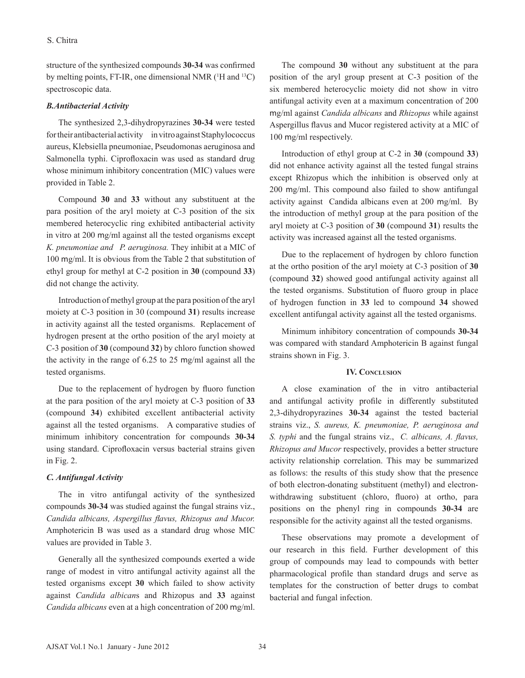structure of the synthesized compounds **30-34** was confirmed by melting points, FT-IR, one dimensional NMR  $(^1H$  and  $^{13}C)$ spectroscopic data.

# *B.Antibacterial Activity*

The synthesized 2,3-dihydropyrazines **30-34** were tested for their antibacterial activity in vitro against Staphylococcus aureus, Klebsiella pneumoniae, Pseudomonas aeruginosa and Salmonella typhi. Ciprofloxacin was used as standard drug whose minimum inhibitory concentration (MIC) values were provided in Table 2.

Compound **30** and **33** without any substituent at the para position of the aryl moiety at C-3 position of the six membered heterocyclic ring exhibited antibacterial activity in vitro at 200 mg/ml against all the tested organisms except *K. pneumoniae and P. aeruginosa.* They inhibit at a MIC of 100 mg/ml. It is obvious from the Table 2 that substitution of ethyl group for methyl at C-2 position in **30** (compound **33**) did not change the activity.

Introduction of methyl group at the para position of the aryl moiety at C-3 position in 30 (compound **31**) results increase in activity against all the tested organisms. Replacement of hydrogen present at the ortho position of the aryl moiety at C-3 position of **30** (compound **32**) by chloro function showed the activity in the range of 6.25 to 25 mg/ml against all the tested organisms.

Due to the replacement of hydrogen by fluoro function at the para position of the aryl moiety at C-3 position of **33**  (compound **34**) exhibited excellent antibacterial activity against all the tested organisms. A comparative studies of minimum inhibitory concentration for compounds **30-34**  using standard. Ciprofloxacin versus bacterial strains given in Fig. 2.

# *C. Antifungal Activity*

The in vitro antifungal activity of the synthesized compounds **30-34** was studied against the fungal strains viz., *Candida albicans, Aspergillus flavus, Rhizopus and Mucor.* Amphotericin B was used as a standard drug whose MIC values are provided in Table 3.

Generally all the synthesized compounds exerted a wide range of modest in vitro antifungal activity against all the tested organisms except **30** which failed to show activity against *Candida albican*s and Rhizopus and **33** against *Candida albicans* even at a high concentration of 200 mg/ml.

The compound **30** without any substituent at the para position of the aryl group present at C-3 position of the six membered heterocyclic moiety did not show in vitro antifungal activity even at a maximum concentration of 200 mg/ml against *Candida albicans* and *Rhizopus* while against Aspergillus flavus and Mucor registered activity at a MIC of 100 mg/ml respectively.

Introduction of ethyl group at C-2 in **30** (compound **33**) did not enhance activity against all the tested fungal strains except Rhizopus which the inhibition is observed only at 200 mg/ml. This compound also failed to show antifungal activity against Candida albicans even at 200 mg/ml. By the introduction of methyl group at the para position of the aryl moiety at C-3 position of **30** (compound **31**) results the activity was increased against all the tested organisms.

Due to the replacement of hydrogen by chloro function at the ortho position of the aryl moiety at C-3 position of **30** (compound **32**) showed good antifungal activity against all the tested organisms. Substitution of fluoro group in place of hydrogen function in **33** led to compound **34** showed excellent antifungal activity against all the tested organisms.

Minimum inhibitory concentration of compounds **30-34**  was compared with standard Amphotericin B against fungal strains shown in Fig. 3.

## **IV. CONCLUSION**

A close examination of the in vitro antibacterial and antifungal activity profile in differently substituted 2,3-dihydropyrazines **30-34** against the tested bacterial strains viz., *S. aureus, K. pneumoniae, P. aeruginosa and S. typhi* and the fungal strains viz., *C. albicans, A. flavus, Rhizopus and Mucor* respectively, provides a better structure activity relationship correlation. This may be summarized as follows: the results of this study show that the presence of both electron-donating substituent (methyl) and electronwithdrawing substituent (chloro, fluoro) at ortho, para positions on the phenyl ring in compounds **30-34** are responsible for the activity against all the tested organisms.

These observations may promote a development of our research in this field. Further development of this group of compounds may lead to compounds with better pharmacological profile than standard drugs and serve as templates for the construction of better drugs to combat bacterial and fungal infection.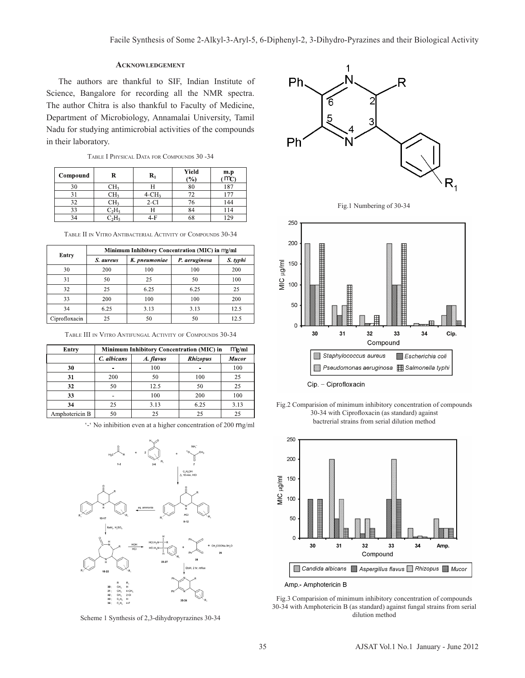#### **Acknowledgement**

The authors are thankful to SIF, Indian Institute of Science, Bangalore for recording all the NMR spectra. The author Chitra is also thankful to Faculty of Medicine, Department of Microbiology, Annamalai University, Tamil Nadu for studying antimicrobial activities of the compounds in their laboratory.

| Compound | R               | $\mathbf{R}_1$ | Yield<br>(9/0) | $\frac{m.p}{n}$ |
|----------|-----------------|----------------|----------------|-----------------|
| 30       | CH,             |                |                | 187             |
|          |                 | 4-CH3          |                |                 |
| 32       | CH <sub>3</sub> | $2-C1$         |                |                 |
| 33       | ىHچ             |                |                |                 |
|          |                 |                |                |                 |

Table I Physical Data for Compounds 30 -34

| Entry         | Minimum Inhibitory Concentration (MIC) in mg/ml |               |               |          |  |
|---------------|-------------------------------------------------|---------------|---------------|----------|--|
|               | S. aureus                                       | K. pneumoniae | P. aeruginosa | S. typhi |  |
| 30            | 200                                             | 100           | 100           | 200      |  |
| 31            | 50                                              | 25            | 50            | 100      |  |
| 32            | 25                                              | 6.25          | 6.25          | 25       |  |
| 33            | 200                                             | 100           | 100           | 200      |  |
| 34            | 6.25                                            | 3.13          | 3.13          | 12.5     |  |
| Ciprofloxacin | 25                                              | 50            | 50            | 12.5     |  |

Table III in Vitro Antifungal Activity of Compounds 30-34

| Entry          | <b>Minimum Inhibitory Concentration (MIC) in</b> | $m_{\rm F}$ /ml |                 |              |
|----------------|--------------------------------------------------|-----------------|-----------------|--------------|
|                | C. albicans                                      | A. flavus       | <b>Rhizopus</b> | <b>Mucor</b> |
| 30             |                                                  | 100             |                 | 100          |
| 31             | 200                                              | 50              | 100             | 25           |
| 32             | 50                                               | 12.5            | 50              | 25           |
| 33             |                                                  | 100             | 200             | 100          |
| 34             | 25                                               | 3.13            | 6.25            | 3.13         |
| Amphotericin B | 50                                               | 25              | 25              | 25           |

'-' No inhibition even at a higher concentration of 200 mg/ml



Scheme 1 Synthesis of 2,3-dihydropyrazines 30-34







Cip. - Ciprofloxacin

Fig.2 Comparision of minimum inhibitory concentration of compounds 30-34 with Ciprofloxacin (as standard) against bactrerial strains from serial dilution method





Fig.3 Comparision of minimum inhibitory concentration of compounds 30-34 with Amphotericin B (as standard) against fungal strains from serial dilution method